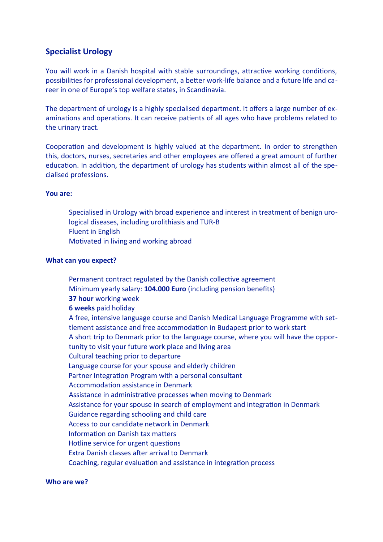# **Specialist Urology**

You will work in a Danish hospital with stable surroundings, attractive working conditions, possibilities for professional development, a better work-life balance and a future life and career in one of Europe's top welfare states, in Scandinavia.

The department of urology is a highly specialised department. It offers a large number of examinations and operations. It can receive patients of all ages who have problems related to the urinary tract.

Cooperation and development is highly valued at the department. In order to strengthen this, doctors, nurses, secretaries and other employees are ofered a great amount of further education. In addition, the department of urology has students within almost all of the specialised professions.

### **You are:**

- $\Box$  Specialised in Urology with broad experience and interest in treatment of benign urological diseases, including urolithiasis and TUR-B
- $\Box$  Fluent in English
- $\Box$  Motivated in living and working abroad

### **What can you expect?**

- $\Box$  Permanent contract regulated by the Danish collective agreement
- · Minimum yearly salary: **104.000 Euro** (including pension benefts)
- **37 hour** working week
- **6 weeks** paid holiday
- $\Box$  A free, intensive language course and Danish Medical Language Programme with settlement assistance and free accommodaton in Budapest prior to work start
- $\Box$  A short trip to Denmark prior to the language course, where you will have the opportunity to visit your future work place and living area
- $\Box$  Cultural teaching prior to departure
- $\Box$  Language course for your spouse and elderly children
- $\Box$  Partner Integration Program with a personal consultant
- $\Box$  Accommodation assistance in Denmark
- $\Box$  Assistance in administrative processes when moving to Denmark
- $\Box$  Assistance for your spouse in search of employment and integration in Denmark
- $\Box$  Guidance regarding schooling and child care
- $\Box$  Access to our candidate network in Denmark
- $\Box$  Information on Danish tax matters
- $\Box$  Hotline service for urgent questions
- $\Box$  Extra Danish classes after arrival to Denmark
- $\Box$  Coaching, regular evaluation and assistance in integration process

#### **Who are we?**